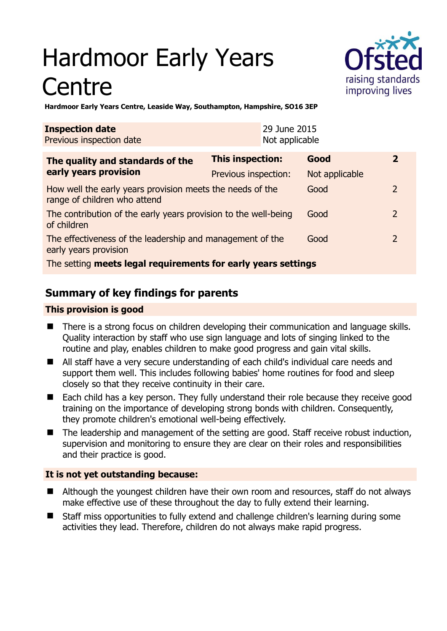# Hardmoor Early Years **Centre**



**Hardmoor Early Years Centre, Leaside Way, Southampton, Hampshire, SO16 3EP** 

| <b>Inspection date</b><br>Previous inspection date                                        |                      | 29 June 2015<br>Not applicable |                |                |
|-------------------------------------------------------------------------------------------|----------------------|--------------------------------|----------------|----------------|
| The quality and standards of the<br>early years provision                                 | This inspection:     |                                | Good           | $\overline{2}$ |
|                                                                                           | Previous inspection: |                                | Not applicable |                |
| How well the early years provision meets the needs of the<br>range of children who attend |                      |                                | Good           | $\mathcal{P}$  |
| The contribution of the early years provision to the well-being<br>of children            |                      |                                | Good           | 2              |
| The effectiveness of the leadership and management of the<br>early years provision        |                      |                                | Good           | 2              |
| The setting meets legal requirements for early years settings                             |                      |                                |                |                |

# **Summary of key findings for parents**

#### **This provision is good**

- There is a strong focus on children developing their communication and language skills. Quality interaction by staff who use sign language and lots of singing linked to the routine and play, enables children to make good progress and gain vital skills.
- All staff have a very secure understanding of each child's individual care needs and support them well. This includes following babies' home routines for food and sleep closely so that they receive continuity in their care.
- Each child has a key person. They fully understand their role because they receive good training on the importance of developing strong bonds with children. Consequently, they promote children's emotional well-being effectively.
- The leadership and management of the setting are good. Staff receive robust induction, supervision and monitoring to ensure they are clear on their roles and responsibilities and their practice is good.

### **It is not yet outstanding because:**

- Although the youngest children have their own room and resources, staff do not always make effective use of these throughout the day to fully extend their learning.
- Staff miss opportunities to fully extend and challenge children's learning during some activities they lead. Therefore, children do not always make rapid progress.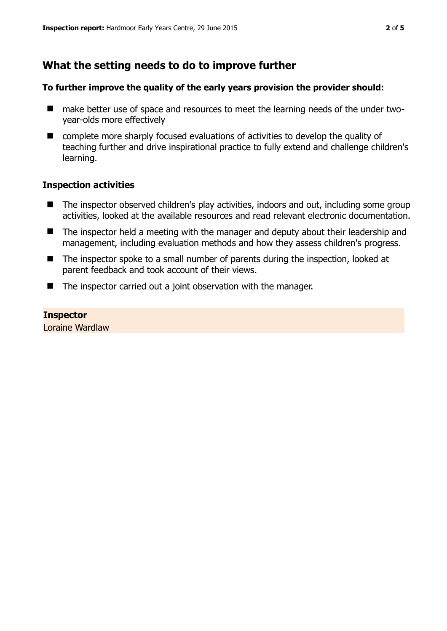## **What the setting needs to do to improve further**

#### **To further improve the quality of the early years provision the provider should:**

- make better use of space and resources to meet the learning needs of the under twoyear-olds more effectively
- complete more sharply focused evaluations of activities to develop the quality of teaching further and drive inspirational practice to fully extend and challenge children's learning.

#### **Inspection activities**

- The inspector observed children's play activities, indoors and out, including some group activities, looked at the available resources and read relevant electronic documentation.
- The inspector held a meeting with the manager and deputy about their leadership and management, including evaluation methods and how they assess children's progress.
- The inspector spoke to a small number of parents during the inspection, looked at parent feedback and took account of their views.
- The inspector carried out a joint observation with the manager.

**Inspector**  Loraine Wardlaw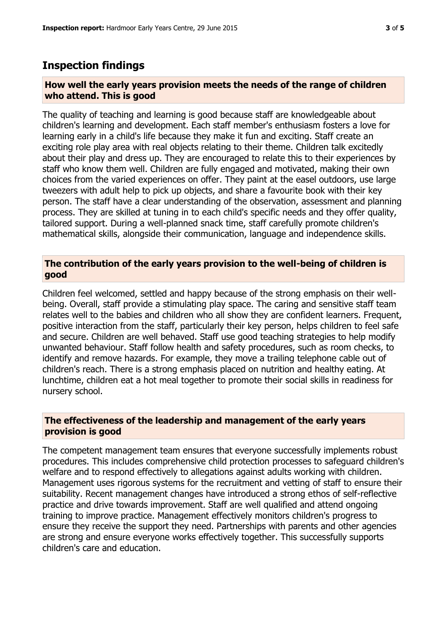## **Inspection findings**

#### **How well the early years provision meets the needs of the range of children who attend. This is good**

The quality of teaching and learning is good because staff are knowledgeable about children's learning and development. Each staff member's enthusiasm fosters a love for learning early in a child's life because they make it fun and exciting. Staff create an exciting role play area with real objects relating to their theme. Children talk excitedly about their play and dress up. They are encouraged to relate this to their experiences by staff who know them well. Children are fully engaged and motivated, making their own choices from the varied experiences on offer. They paint at the easel outdoors, use large tweezers with adult help to pick up objects, and share a favourite book with their key person. The staff have a clear understanding of the observation, assessment and planning process. They are skilled at tuning in to each child's specific needs and they offer quality, tailored support. During a well-planned snack time, staff carefully promote children's mathematical skills, alongside their communication, language and independence skills.

#### **The contribution of the early years provision to the well-being of children is good**

Children feel welcomed, settled and happy because of the strong emphasis on their wellbeing. Overall, staff provide a stimulating play space. The caring and sensitive staff team relates well to the babies and children who all show they are confident learners. Frequent, positive interaction from the staff, particularly their key person, helps children to feel safe and secure. Children are well behaved. Staff use good teaching strategies to help modify unwanted behaviour. Staff follow health and safety procedures, such as room checks, to identify and remove hazards. For example, they move a trailing telephone cable out of children's reach. There is a strong emphasis placed on nutrition and healthy eating. At lunchtime, children eat a hot meal together to promote their social skills in readiness for nursery school.

#### **The effectiveness of the leadership and management of the early years provision is good**

The competent management team ensures that everyone successfully implements robust procedures. This includes comprehensive child protection processes to safeguard children's welfare and to respond effectively to allegations against adults working with children. Management uses rigorous systems for the recruitment and vetting of staff to ensure their suitability. Recent management changes have introduced a strong ethos of self-reflective practice and drive towards improvement. Staff are well qualified and attend ongoing training to improve practice. Management effectively monitors children's progress to ensure they receive the support they need. Partnerships with parents and other agencies are strong and ensure everyone works effectively together. This successfully supports children's care and education.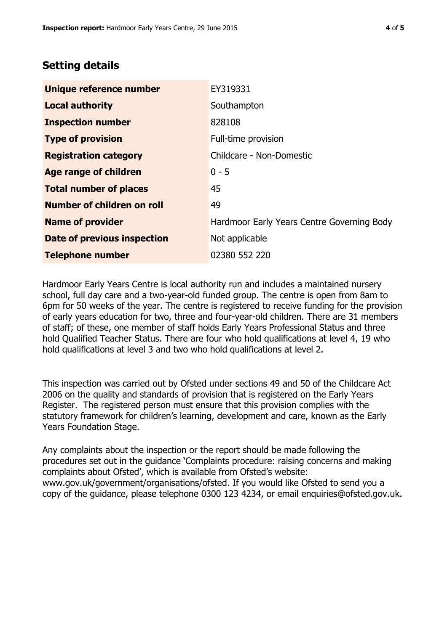## **Setting details**

| Unique reference number       | EY319331                                   |  |  |
|-------------------------------|--------------------------------------------|--|--|
| <b>Local authority</b>        | Southampton                                |  |  |
| <b>Inspection number</b>      | 828108                                     |  |  |
| <b>Type of provision</b>      | Full-time provision                        |  |  |
| <b>Registration category</b>  | Childcare - Non-Domestic                   |  |  |
| <b>Age range of children</b>  | $0 - 5$                                    |  |  |
| <b>Total number of places</b> | 45                                         |  |  |
| Number of children on roll    | 49                                         |  |  |
| <b>Name of provider</b>       | Hardmoor Early Years Centre Governing Body |  |  |
| Date of previous inspection   | Not applicable                             |  |  |
| <b>Telephone number</b>       | 02380 552 220                              |  |  |

Hardmoor Early Years Centre is local authority run and includes a maintained nursery school, full day care and a two-year-old funded group. The centre is open from 8am to 6pm for 50 weeks of the year. The centre is registered to receive funding for the provision of early years education for two, three and four-year-old children. There are 31 members of staff; of these, one member of staff holds Early Years Professional Status and three hold Qualified Teacher Status. There are four who hold qualifications at level 4, 19 who hold qualifications at level 3 and two who hold qualifications at level 2.

This inspection was carried out by Ofsted under sections 49 and 50 of the Childcare Act 2006 on the quality and standards of provision that is registered on the Early Years Register. The registered person must ensure that this provision complies with the statutory framework for children's learning, development and care, known as the Early Years Foundation Stage.

Any complaints about the inspection or the report should be made following the procedures set out in the guidance 'Complaints procedure: raising concerns and making complaints about Ofsted', which is available from Ofsted's website: www.gov.uk/government/organisations/ofsted. If you would like Ofsted to send you a copy of the guidance, please telephone 0300 123 4234, or email enquiries@ofsted.gov.uk.